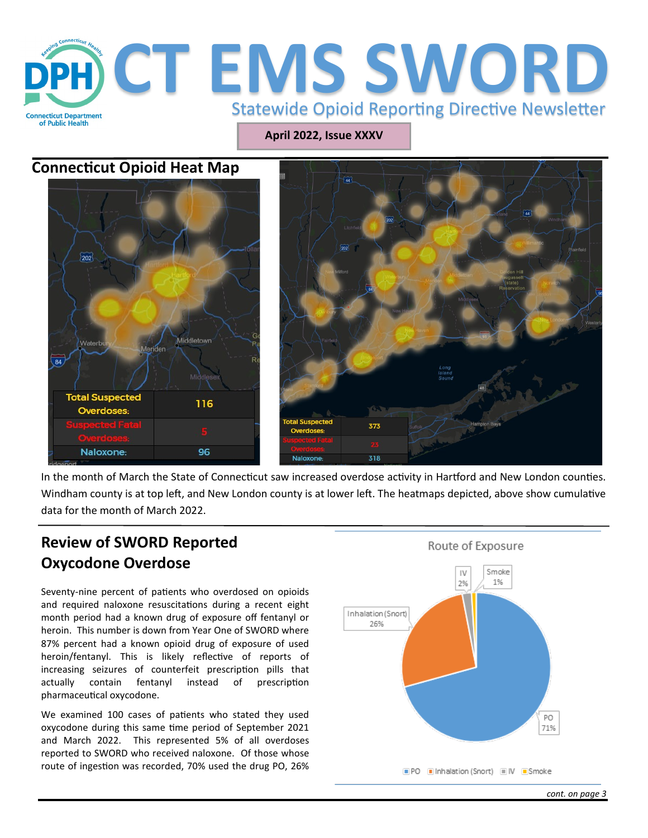

**April 2022, Issue XXXV**

### **Connecticut Opioid Heat Map**





In the month of March the State of Connecticut saw increased overdose activity in Hartford and New London counties. Windham county is at top left, and New London county is at lower left. The heatmaps depicted, above show cumulative data for the month of March 2022.

# **Review of SWORD Reported Oxycodone Overdose**

Seventy-nine percent of patients who overdosed on opioids and required naloxone resuscitations during a recent eight month period had a known drug of exposure off fentanyl or heroin. This number is down from Year One of SWORD where 87% percent had a known opioid drug of exposure of used heroin/fentanyl. This is likely reflective of reports of increasing seizures of counterfeit prescription pills that actually contain fentanyl instead of prescription pharmaceutical oxycodone.

We examined 100 cases of patients who stated they used oxycodone during this same time period of September 2021 and March 2022. This represented 5% of all overdoses reported to SWORD who received naloxone. Of those whose route of ingestion was recorded, 70% used the drug PO, 26%

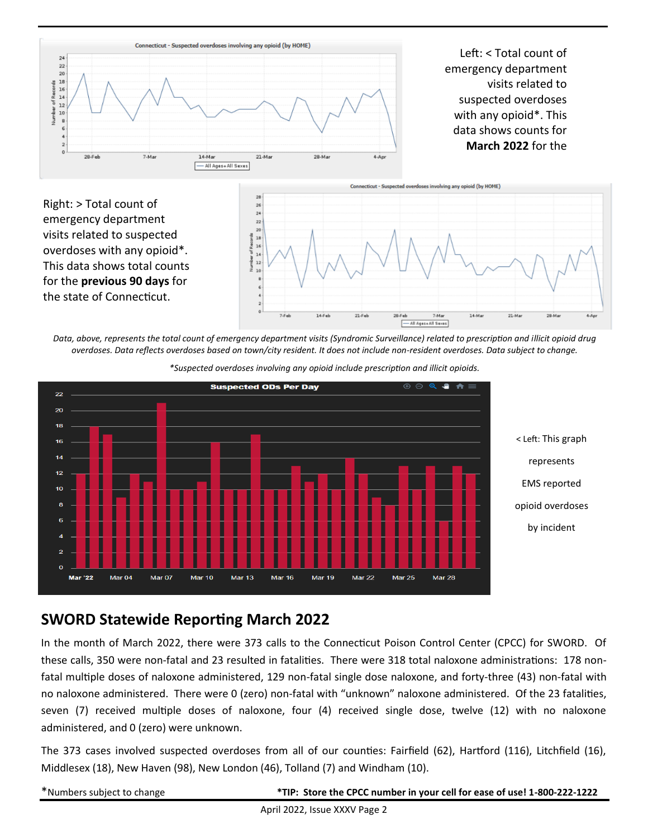

Left: < Total count of emergency department visits related to suspected overdoses with any opioid\*. This data shows counts for **March 2022** for the





*Data, above, represents the total count of emergency department visits (Syndromic Surveillance) related to prescription and illicit opioid drug overdoses. Data reflects overdoses based on town/city resident. It does not include non-resident overdoses. Data subject to change.* 



*\*Suspected overdoses involving any opioid include prescription and illicit opioids.*

### **SWORD Statewide Reporting March 2022**

In the month of March 2022, there were 373 calls to the Connecticut Poison Control Center (CPCC) for SWORD. Of these calls, 350 were non-fatal and 23 resulted in fatalities. There were 318 total naloxone administrations: 178 nonfatal multiple doses of naloxone administered, 129 non-fatal single dose naloxone, and forty-three (43) non-fatal with no naloxone administered. There were 0 (zero) non-fatal with "unknown" naloxone administered. Of the 23 fatalities, seven (7) received multiple doses of naloxone, four (4) received single dose, twelve (12) with no naloxone administered, and 0 (zero) were unknown.

The 373 cases involved suspected overdoses from all of our counties: Fairfield (62), Hartford (116), Litchfield (16), Middlesex (18), New Haven (98), New London (46), Tolland (7) and Windham (10).

\*Numbers subject to change **\*TIP: Store the CPCC number in your cell for ease of use! 1-800-222-1222**

April 2022, Issue XXXV Page 2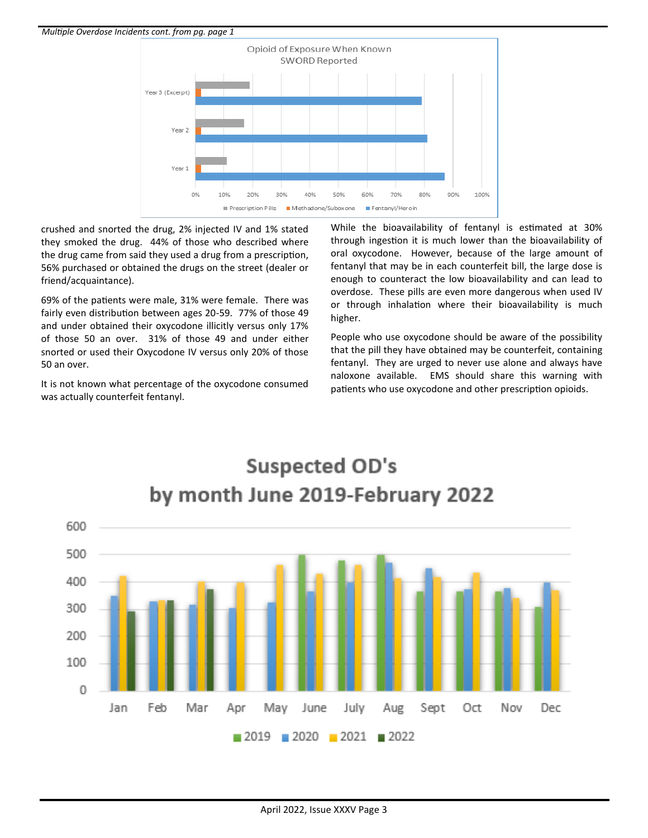

crushed and snorted the drug, 2% injected IV and 1% stated they smoked the drug. 44% of those who described where the drug came from said they used a drug from a prescription, 56% purchased or obtained the drugs on the street (dealer or friend/acquaintance).

69% of the patients were male, 31% were female. There was fairly even distribution between ages 20-59. 77% of those 49 and under obtained their oxycodone illicitly versus only 17% of those 50 an over. 31% of those 49 and under either snorted or used their Oxycodone IV versus only 20% of those 50 an over.

It is not known what percentage of the oxycodone consumed was actually counterfeit fentanyl.

While the bioavailability of fentanyl is estimated at 30% through ingestion it is much lower than the bioavailability of oral oxycodone. However, because of the large amount of fentanyl that may be in each counterfeit bill, the large dose is enough to counteract the low bioavailability and can lead to overdose. These pills are even more dangerous when used IV or through inhalation where their bioavailability is much higher.

People who use oxycodone should be aware of the possibility that the pill they have obtained may be counterfeit, containing fentanyl. They are urged to never use alone and always have naloxone available. EMS should share this warning with patients who use oxycodone and other prescription opioids.



**Suspected OD's**